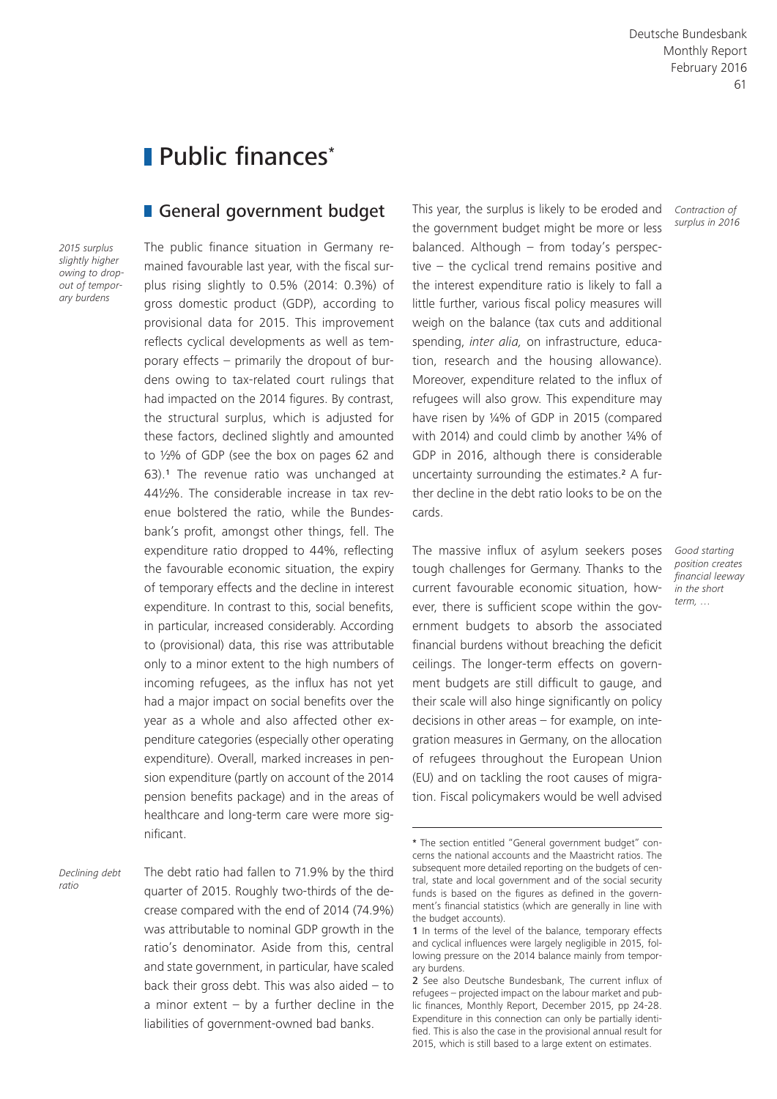# Public finances\*

### General government budget

*2015 surplus slightly higher owing to dropout of temporary burdens*

The public finance situation in Germany remained favourable last year, with the fiscal surplus rising slightly to 0.5% (2014: 0.3%) of gross domestic product (GDP), according to provisional data for 2015. This improvement reflects cyclical developments as well as temporary effects – primarily the dropout of burdens owing to tax-related court rulings that had impacted on the 2014 figures. By contrast, the structural surplus, which is adjusted for these factors, declined slightly and amounted to ½% of GDP (see the box on pages 62 and 63).1 The revenue ratio was unchanged at 44½%. The considerable increase in tax revenue bolstered the ratio, while the Bundesbank's profit, amongst other things, fell. The expenditure ratio dropped to 44%, reflecting the favourable economic situation, the expiry of temporary effects and the decline in interest expenditure. In contrast to this, social benefits, in particular, increased considerably. According to (provisional) data, this rise was attributable only to a minor extent to the high numbers of incoming refugees, as the influx has not yet had a major impact on social benefits over the year as a whole and also affected other expenditure categories (especially other operating expenditure). Overall, marked increases in pension expenditure (partly on account of the 2014 pension benefits package) and in the areas of healthcare and long-term care were more significant.

*Declining debt ratio*

The debt ratio had fallen to 71.9% by the third quarter of 2015. Roughly two-thirds of the decrease compared with the end of 2014 (74.9%) was attributable to nominal GDP growth in the ratio's denominator. Aside from this, central and state government, in particular, have scaled back their gross debt. This was also aided  $-$  to a minor extent  $-$  by a further decline in the liabilities of government-owned bad banks.

This year, the surplus is likely to be eroded and the government budget might be more or less balanced. Although – from today's perspective – the cyclical trend remains positive and the interest expenditure ratio is likely to fall a little further, various fiscal policy measures will weigh on the balance (tax cuts and additional spending, *inter alia,* on infrastructure, education, research and the housing allowance). Moreover, expenditure related to the influx of refugees will also grow. This expenditure may have risen by ¼% of GDP in 2015 (compared with 2014) and could climb by another ¼% of GDP in 2016, although there is considerable uncertainty surrounding the estimates.2 A further decline in the debt ratio looks to be on the cards.

The massive influx of asylum seekers poses tough challenges for Germany. Thanks to the current favourable economic situation, however, there is sufficient scope within the government budgets to absorb the associated financial burdens without breaching the deficit ceilings. The longer-term effects on government budgets are still difficult to gauge, and their scale will also hinge significantly on policy decisions in other areas – for example, on integration measures in Germany, on the allocation of refugees throughout the European Union (EU) and on tackling the root causes of migration. Fiscal policymakers would be well advised

*Contraction of surplus in 2016*

*Good starting position creates financial leeway in the short term, …*

<sup>\*</sup> The section entitled "General government budget" concerns the national accounts and the Maastricht ratios. The subsequent more detailed reporting on the budgets of central, state and local government and of the social security funds is based on the figures as defined in the government's financial statistics (which are generally in line with the budget accounts).

<sup>1</sup> In terms of the level of the balance, temporary effects and cyclical influences were largely negligible in 2015, following pressure on the 2014 balance mainly from temporary burdens.

<sup>2</sup> See also Deutsche Bundesbank, The current influx of refugees – projected impact on the labour market and public finances, Monthly Report, December 2015, pp 24-28. Expenditure in this connection can only be partially identified. This is also the case in the provisional annual result for 2015, which is still based to a large extent on estimates.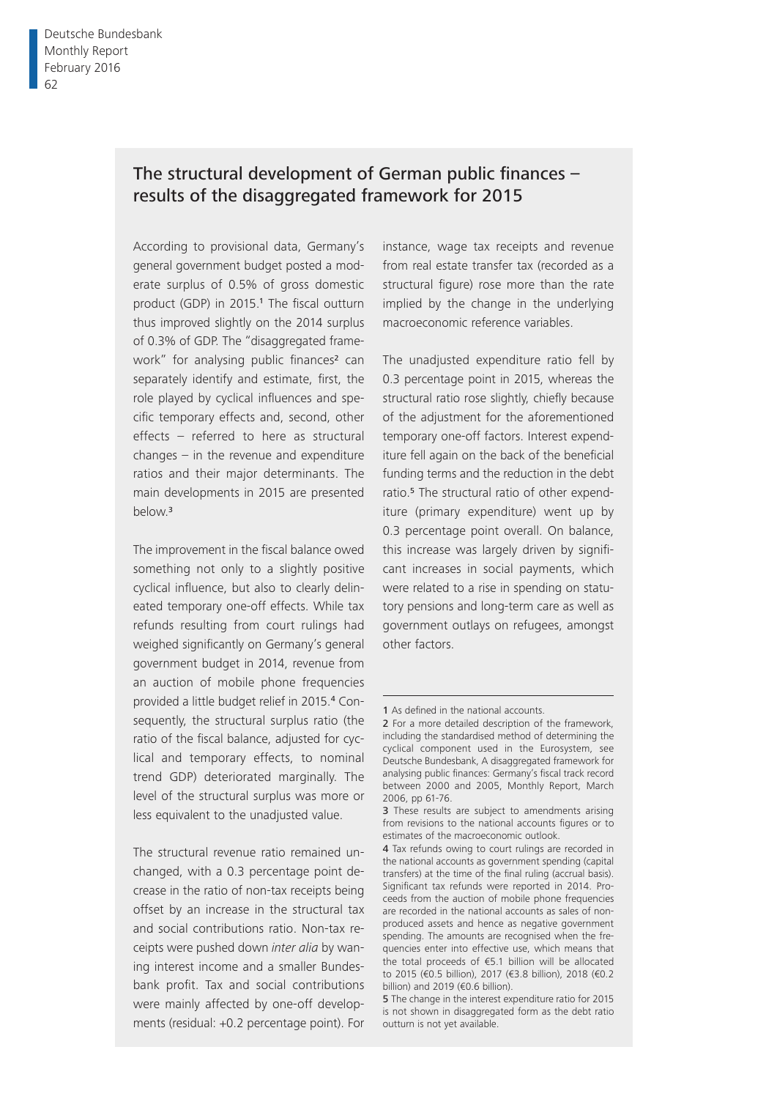# The structural development of German public finances  $$ results of the disaggregated framework for 2015

According to provisional data, Germany's general government budget posted a moderate surplus of 0.5% of gross domestic product (GDP) in 2015.<sup>1</sup> The fiscal outturn thus improved slightly on the 2014 surplus of 0.3% of GDP. The "disaggregated framework" for analysing public finances<sup>2</sup> can separately identify and estimate, first, the role played by cyclical influences and specific temporary effects and, second, other effects – referred to here as structural changes – in the revenue and expenditure ratios and their major determinants. The main developments in 2015 are presented below.<sup>3</sup>

The improvement in the fiscal balance owed something not only to a slightly positive cyclical influence, but also to clearly delineated temporary one-off effects. While tax refunds resulting from court rulings had weighed significantly on Germany's general government budget in 2014, revenue from an auction of mobile phone frequencies provided a little budget relief in 2015.4 Consequently, the structural surplus ratio (the ratio of the fiscal balance, adjusted for cyclical and temporary effects, to nominal trend GDP) deteriorated marginally. The level of the structural surplus was more or less equivalent to the unadjusted value.

The structural revenue ratio remained unchanged, with a 0.3 percentage point decrease in the ratio of non-tax receipts being offset by an increase in the structural tax and social contributions ratio. Non-tax receipts were pushed down *inter alia* by waning interest income and a smaller Bundesbank profit. Tax and social contributions were mainly affected by one-off developments (residual: +0.2 percentage point). For

instance, wage tax receipts and revenue from real estate transfer tax (recorded as a structural figure) rose more than the rate implied by the change in the underlying macroeconomic reference variables.

The unadjusted expenditure ratio fell by 0.3 percentage point in 2015, whereas the structural ratio rose slightly, chiefly because of the adjustment for the aforementioned temporary one-off factors. Interest expenditure fell again on the back of the beneficial funding terms and the reduction in the debt ratio.<sup>5</sup> The structural ratio of other expenditure (primary expenditure) went up by 0.3 percentage point overall. On balance, this increase was largely driven by significant increases in social payments, which were related to a rise in spending on statutory pensions and long-term care as well as government outlays on refugees, amongst other factors.

<sup>1</sup> As defined in the national accounts.

<sup>2</sup> For a more detailed description of the framework, including the standardised method of determining the cyclical component used in the Eurosystem, see Deutsche Bundesbank, A disaggregated framework for analysing public finances: Germany's fiscal track record between 2000 and 2005, Monthly Report, March 2006, pp 61-76.

<sup>3</sup> These results are subject to amendments arising from revisions to the national accounts figures or to estimates of the macroeconomic outlook.

<sup>4</sup> Tax refunds owing to court rulings are recorded in the national accounts as government spending (capital transfers) at the time of the final ruling (accrual basis). Significant tax refunds were reported in 2014. Proceeds from the auction of mobile phone frequencies are recorded in the national accounts as sales of nonproduced assets and hence as negative government spending. The amounts are recognised when the frequencies enter into effective use, which means that the total proceeds of €5.1 billion will be allocated to 2015 (€0.5 billion), 2017 (€3.8 billion), 2018 (€0.2 billion) and 2019 (€0.6 billion).

<sup>5</sup> The change in the interest expenditure ratio for 2015 is not shown in disaggregated form as the debt ratio outturn is not yet available.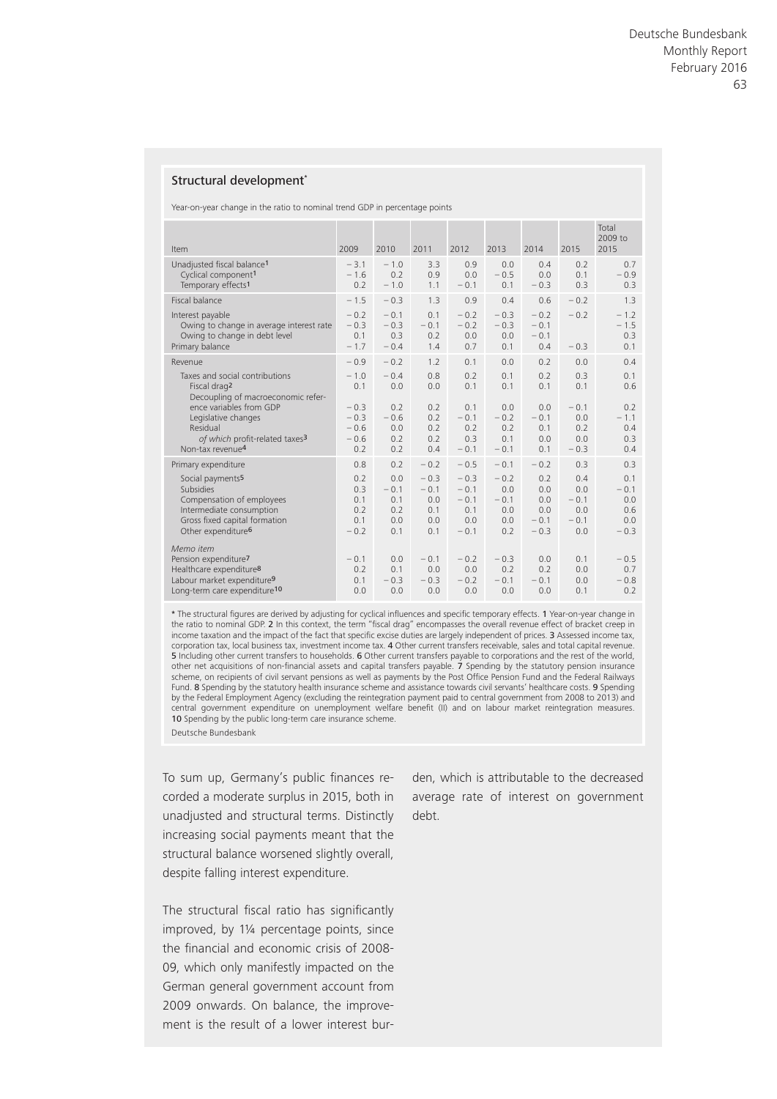#### Structural development\*

Year-on-year change in the ratio to nominal trend GDP in percentage points

| Item                                                                                                                                                                         | 2009                                        | 2010                                      | 2011                                         | 2012                                               | 2013                                         | 2014                                         | 2015                                         | Total<br>2009 to<br>2015                     |
|------------------------------------------------------------------------------------------------------------------------------------------------------------------------------|---------------------------------------------|-------------------------------------------|----------------------------------------------|----------------------------------------------------|----------------------------------------------|----------------------------------------------|----------------------------------------------|----------------------------------------------|
| Unadjusted fiscal balance <sup>1</sup><br>Cyclical component <sup>1</sup><br>Temporary effects <sup>1</sup>                                                                  | $-3.1$<br>$-1.6$<br>0.2                     | $-1.0$<br>0.2<br>$-1.0$                   | 3.3<br>0.9<br>1.1                            | 0.9<br>0.0<br>$-0.1$                               | 0.0<br>$-0.5$<br>0.1                         | 0.4<br>0.0<br>$-0.3$                         | 0.2<br>0.1<br>0.3                            | 0.7<br>$-0.9$<br>0.3                         |
| Fiscal balance                                                                                                                                                               | $-1.5$                                      | $-0.3$                                    | 1.3                                          | 0.9                                                | 0.4                                          | 0.6                                          | $-0.2$                                       | 1.3                                          |
| Interest payable<br>Owing to change in average interest rate<br>Owing to change in debt level<br>Primary balance                                                             | $-0.2$<br>$-0.3$<br>0.1<br>$-1.7$           | $-0.1$<br>$-0.3$<br>0.3<br>$-0.4$         | 0.1<br>$-0.1$<br>0.2<br>1.4                  | $-0.2$<br>$-0.2$<br>0.0<br>0.7                     | $-0.3$<br>$-0.3$<br>0.0<br>0.1               | $-0.2$<br>$-0.1$<br>$-0.1$<br>0.4            | $-0.2$<br>$-0.3$                             | $-1.2$<br>$-1.5$<br>0.3<br>0.1               |
| Revenue                                                                                                                                                                      | $-0.9$                                      | $-0.2$                                    | 1.2                                          | 0.1                                                | 0.0                                          | 0.2                                          | 0.0                                          | 0.4                                          |
| Taxes and social contributions<br>Fiscal drag <sup>2</sup><br>Decoupling of macroeconomic refer-                                                                             | $-1.0$<br>0.1                               | $-0.4$<br>0.0                             | 0.8<br>0.0                                   | 0.2<br>0.1                                         | 0.1<br>0.1                                   | 0.2<br>0.1                                   | 0.3<br>0.1                                   | 0.1<br>0.6                                   |
| ence variables from GDP<br>Legislative changes<br>Residual<br>of which profit-related taxes <sup>3</sup><br>Non-tax revenue <sup>4</sup>                                     | $-0.3$<br>$-0.3$<br>$-0.6$<br>$-0.6$<br>0.2 | 0.2<br>$-0.6$<br>0.0<br>0.2<br>0.2        | 0.2<br>0.2<br>0.2<br>0.2<br>0.4              | 0.1<br>$-0.1$<br>0.2<br>0.3<br>$-0.1$              | 0.0<br>$-0.2$<br>0.2<br>0.1<br>$-0.1$        | 0.0<br>$-0.1$<br>0.1<br>0.0<br>0.1           | $-0.1$<br>0.0<br>0.2<br>0.0<br>$-0.3$        | 0.2<br>$-1.1$<br>0.4<br>0.3<br>0.4           |
| Primary expenditure                                                                                                                                                          | 0.8                                         | 0.2                                       | $-0.2$                                       | $-0.5$                                             | $-0.1$                                       | $-0.2$                                       | 0.3                                          | 0.3                                          |
| Social payments <sup>5</sup><br><b>Subsidies</b><br>Compensation of employees<br>Intermediate consumption<br>Gross fixed capital formation<br>Other expenditure <sup>6</sup> | 0.2<br>0.3<br>0.1<br>0.2<br>0.1<br>$-0.2$   | 0.0<br>$-0.1$<br>0.1<br>0.2<br>0.0<br>0.1 | $-0.3$<br>$-0.1$<br>0.0<br>0.1<br>0.0<br>0.1 | $-0.3$<br>$-0.1$<br>$-0.1$<br>0.1<br>0.0<br>$-0.1$ | $-0.2$<br>0.0<br>$-0.1$<br>0.0<br>0.0<br>0.2 | 0.2<br>0.0<br>0.0<br>0.0<br>$-0.1$<br>$-0.3$ | 0.4<br>0.0<br>$-0.1$<br>0.0<br>$-0.1$<br>0.0 | 0.1<br>$-0.1$<br>0.0<br>0.6<br>0.0<br>$-0.3$ |
| Memo item<br>Pension expenditure <sup>7</sup><br>Healthcare expenditure <sup>8</sup><br>Labour market expenditure <sup>9</sup><br>Long-term care expenditure <sup>10</sup>   | $-0.1$<br>0.2<br>0.1<br>0.0                 | 0.0<br>0.1<br>$-0.3$<br>0.0               | $-0.1$<br>0.0<br>$-0.3$<br>0.0               | $-0.2$<br>0.0<br>$-0.2$<br>0.0                     | $-0.3$<br>0.2<br>$-0.1$<br>0.0               | 0.0<br>0.2<br>$-0.1$<br>0.0                  | 0.1<br>0.0<br>0.0<br>0.1                     | $-0.5$<br>0.7<br>$-0.8$<br>0.2               |

\* The structural figures are derived by adjusting for cyclical influences and specific temporary effects. 1 Year-on-year change in the ratio to nominal GDP. 2 In this context, the term "fiscal drag" encompasses the overall revenue effect of bracket creep in income taxation and the impact of the fact that specific excise duties are largely independent of prices. 3 Assessed income tax, corporation tax, local business tax, investment income tax. 4 Other current transfers receivable, sales and total capital revenue. 5 Including other current transfers to households. 6 Other current transfers payable to corporations and the rest of the world, other net acquisitions of non-financial assets and capital transfers payable. 7 Spending by the statutory pension insurance scheme, on recipients of civil servant pensions as well as payments by the Post Office Pension Fund and the Federal Railways Fund. 8 Spending by the statutory health insurance scheme and assistance towards civil servants' healthcare costs. 9 Spending by the Federal Employment Agency (excluding the reintegration payment paid to central government from 2008 to 2013) and central government expenditure on unemployment welfare benefit (II) and on labour market reintegration measures. 10 Spending by the public long-term care insurance scheme. Deutsche Bundesbank

To sum up, Germany's public finances recorded a moderate surplus in 2015, both in unadjusted and structural terms. Distinctly increasing social payments meant that the structural balance worsened slightly overall, despite falling interest expenditure.

The structural fiscal ratio has significantly improved, by 1¼ percentage points, since the financial and economic crisis of 2008-09, which only manifestly impacted on the German general government account from 2009 onwards. On balance, the improvement is the result of a lower interest burden, which is attributable to the decreased average rate of interest on government debt.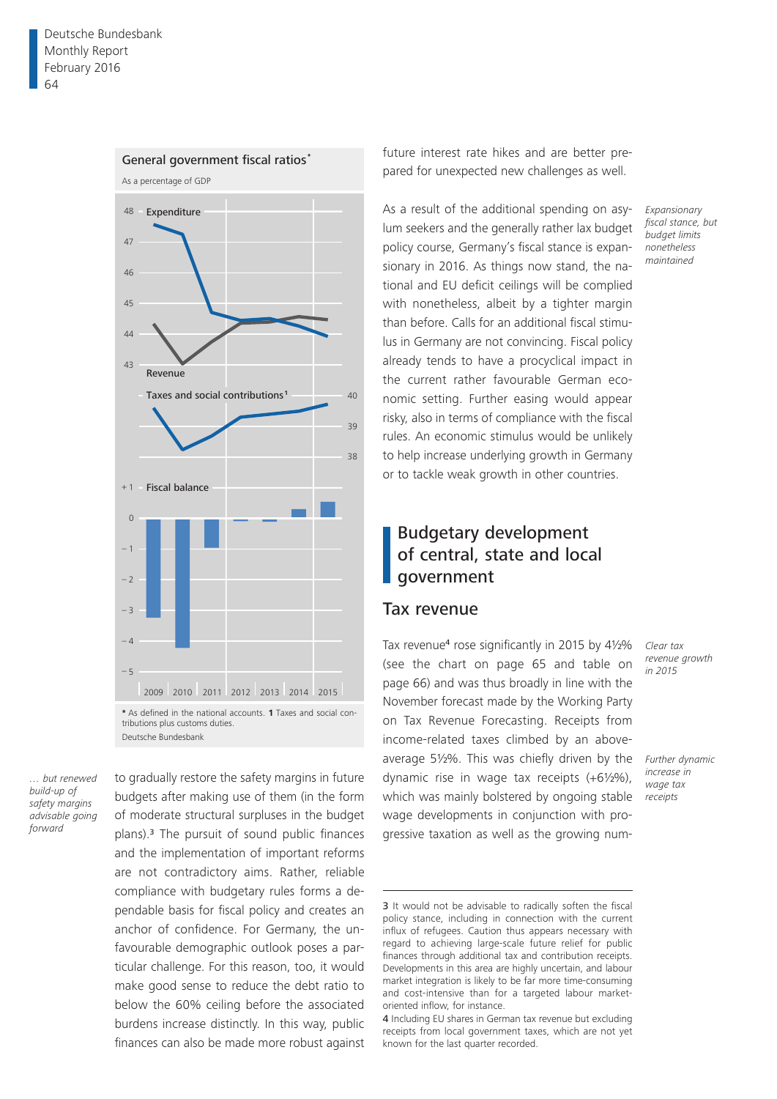

*… but renewed build-up of safety margins advisable going forward*

to gradually restore the safety margins in future budgets after making use of them (in the form of moderate structural surpluses in the budget plans).3 The pursuit of sound public finances and the implementation of important reforms are not contradictory aims. Rather, reliable compliance with budgetary rules forms a dependable basis for fiscal policy and creates an anchor of confidence. For Germany, the unfavourable demographic outlook poses a particular challenge. For this reason, too, it would make good sense to reduce the debt ratio to below the 60% ceiling before the associated burdens increase distinctly. In this way, public finances can also be made more robust against future interest rate hikes and are better prepared for unexpected new challenges as well.

As a result of the additional spending on asylum seekers and the generally rather lax budget policy course, Germany's fiscal stance is expansionary in 2016. As things now stand, the national and EU deficit ceilings will be complied with nonetheless, albeit by a tighter margin than before. Calls for an additional fiscal stimulus in Germany are not convincing. Fiscal policy already tends to have a procyclical impact in the current rather favourable German economic setting. Further easing would appear risky, also in terms of compliance with the fiscal rules. An economic stimulus would be unlikely to help increase underlying growth in Germany or to tackle weak growth in other countries.

# Budgetary development of central, state and local government

### Tax revenue

Tax revenue<sup>4</sup> rose significantly in 2015 by 41/2% (see the chart on page 65 and table on page 66) and was thus broadly in line with the November forecast made by the Working Party on Tax Revenue Forecasting. Receipts from income-related taxes climbed by an aboveaverage 5½%. This was chiefly driven by the dynamic rise in wage tax receipts (+6½%), which was mainly bolstered by ongoing stable wage developments in conjunction with progressive taxation as well as the growing num*Clear tax revenue growth in 2015*

*Expansionary fiscal stance, but budget limits nonetheless maintained*

*Further dynamic increase in wage tax receipts*

<sup>3</sup> It would not be advisable to radically soften the fiscal policy stance, including in connection with the current influx of refugees. Caution thus appears necessary with regard to achieving large-scale future relief for public finances through additional tax and contribution receipts. Developments in this area are highly uncertain, and labour market integration is likely to be far more time-consuming and cost-intensive than for a targeted labour marketoriented inflow, for instance.

<sup>4</sup> Including EU shares in German tax revenue but excluding receipts from local government taxes, which are not yet known for the last quarter recorded.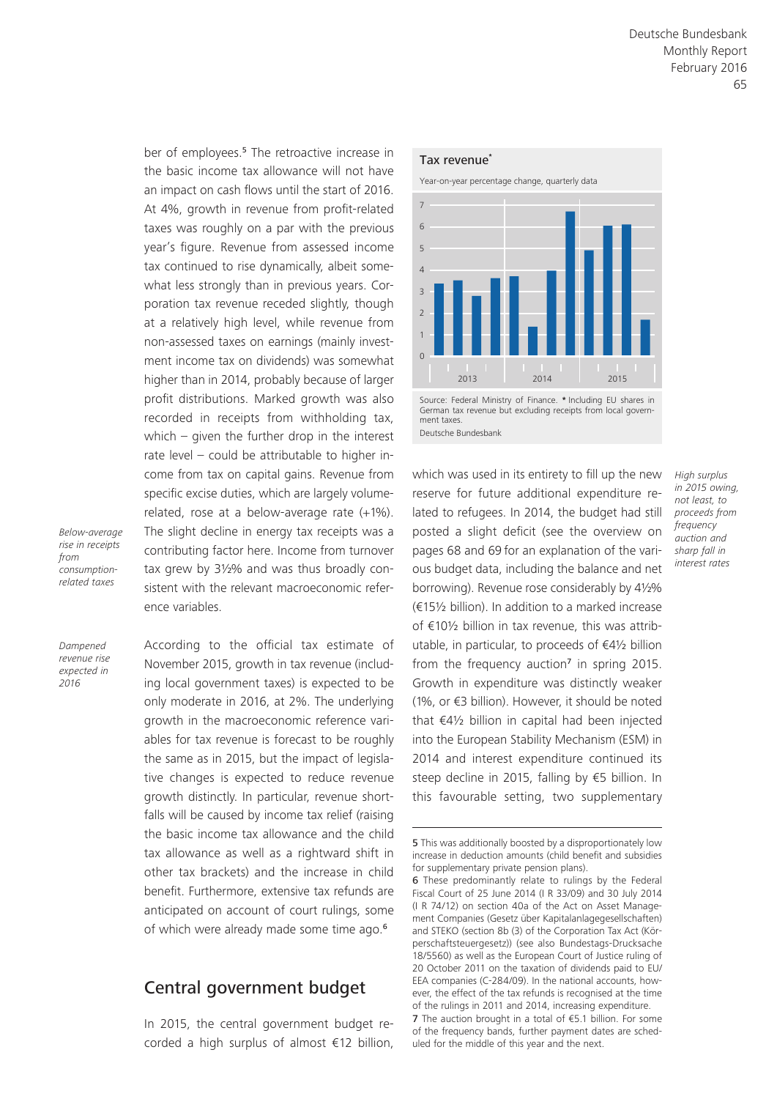ber of employees.5 The retroactive increase in the basic income tax allowance will not have an impact on cash flows until the start of 2016. At 4%, growth in revenue from profit-related taxes was roughly on a par with the previous year's figure. Revenue from assessed income tax continued to rise dynamically, albeit somewhat less strongly than in previous years. Corporation tax revenue receded slightly, though at a relatively high level, while revenue from non-assessed taxes on earnings (mainly investment income tax on dividends) was somewhat higher than in 2014, probably because of larger profit distributions. Marked growth was also recorded in receipts from withholding tax, which – given the further drop in the interest rate level – could be attributable to higher income from tax on capital gains. Revenue from specific excise duties, which are largely volumerelated, rose at a below-average rate (+1%). The slight decline in energy tax receipts was a contributing factor here. Income from turnover tax grew by 3½% and was thus broadly consistent with the relevant macroeconomic reference variables.

*Dampened revenue rise expected in 2016*

*Below-average rise in receipts from consumptionrelated taxes*

> According to the official tax estimate of November 2015, growth in tax revenue (including local government taxes) is expected to be only moderate in 2016, at 2%. The underlying growth in the macroeconomic reference variables for tax revenue is forecast to be roughly the same as in 2015, but the impact of legislative changes is expected to reduce revenue growth distinctly. In particular, revenue shortfalls will be caused by income tax relief (raising the basic income tax allowance and the child tax allowance as well as a rightward shift in other tax brackets) and the increase in child benefit. Furthermore, extensive tax refunds are anticipated on account of court rulings, some of which were already made some time ago.<sup>6</sup>

# Central government budget

In 2015, the central government budget recorded a high surplus of almost €12 billion,

#### Tax revenue**\***





German tax revenue but excluding receipts from local government taxes. Deutsche Bundesbank

which was used in its entirety to fill up the new reserve for future additional expenditure related to refugees. In 2014, the budget had still posted a slight deficit (see the overview on pages 68 and 69 for an explanation of the various budget data, including the balance and net borrowing). Revenue rose considerably by 4½% (€15½ billion). In addition to a marked increase of €10½ billion in tax revenue, this was attributable, in particular, to proceeds of €4½ billion from the frequency auction<sup>7</sup> in spring 2015. Growth in expenditure was distinctly weaker (1%, or €3 billion). However, it should be noted that €4½ billion in capital had been injected into the European Stability Mechanism (ESM) in 2014 and interest expenditure continued its steep decline in 2015, falling by €5 billion. In this favourable setting, two supplementary

*High surplus* 

*in 2015 owing, not least, to proceeds from frequency auction and sharp fall in interest rates*

<sup>5</sup> This was additionally boosted by a disproportionately low increase in deduction amounts (child benefit and subsidies for supplementary private pension plans).

<sup>6</sup> These predominantly relate to rulings by the Federal Fiscal Court of 25 June 2014 (I R 33/09) and 30 July 2014 (I R 74/12) on section 40a of the Act on Asset Management Companies (Gesetz über Kapitalanlagegesellschaften) and STEKO (section 8b (3) of the Corporation Tax Act (Körperschaftsteuergesetz)) (see also Bundestags-Drucksache 18/5560) as well as the European Court of Justice ruling of 20 October 2011 on the taxation of dividends paid to EU/ EEA companies (C-284/09). In the national accounts, however, the effect of the tax refunds is recognised at the time of the rulings in 2011 and 2014, increasing expenditure. 7 The auction brought in a total of €5.1 billion. For some

of the frequency bands, further payment dates are scheduled for the middle of this year and the next.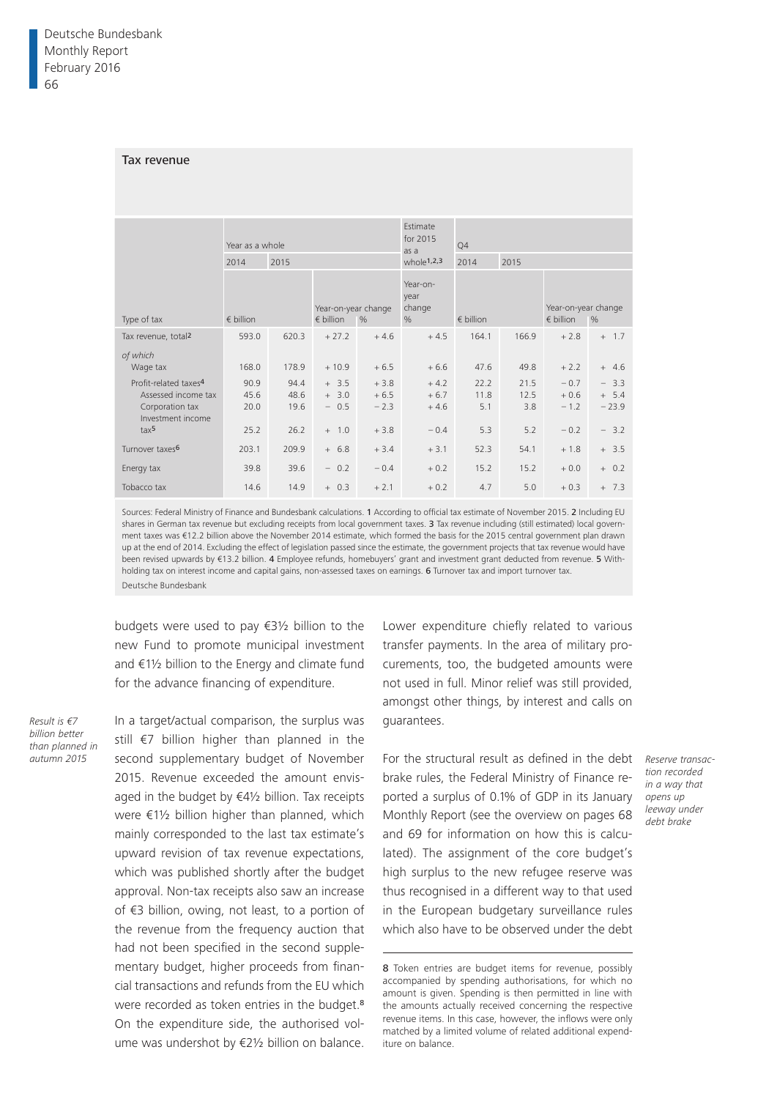#### Tax revenue

|                                                                                                  | Year as a whole      |                      |                                           |                            | Estimate<br>for 2015<br>as a       | Q4                  |                     |                                           |                              |  |
|--------------------------------------------------------------------------------------------------|----------------------|----------------------|-------------------------------------------|----------------------------|------------------------------------|---------------------|---------------------|-------------------------------------------|------------------------------|--|
|                                                                                                  | 2014                 | 2015                 |                                           |                            | whole <sup>1,2,3</sup>             | 2014                | 2015                |                                           |                              |  |
| Type of tax                                                                                      | $\epsilon$ billion   |                      | Year-on-year change<br>$\epsilon$ billion | $\frac{0}{6}$              | Year-on-<br>vear<br>change<br>$\%$ | $\epsilon$ billion  |                     | Year-on-year change<br>$\epsilon$ billion | $\%$                         |  |
| Tax revenue, total <sup>2</sup>                                                                  | 593.0                | 620.3                | $+27.2$                                   | $+4.6$                     | $+4.5$                             | 164.1               | 166.9               | $+2.8$                                    | $+ 1.7$                      |  |
| of which<br>Wage tax                                                                             | 168.0                | 178.9                | $+10.9$                                   | $+6.5$                     | $+6.6$                             | 47.6                | 49.8                | $+2.2$                                    | $+ 4.6$                      |  |
| Profit-related taxes <sup>4</sup><br>Assessed income tax<br>Corporation tax<br>Investment income | 90.9<br>45.6<br>20.0 | 94.4<br>48.6<br>19.6 | $+ 3.5$<br>$+ 3.0$<br>$-0.5$              | $+3.8$<br>$+6.5$<br>$-2.3$ | $+4.2$<br>$+6.7$<br>$+4.6$         | 22.2<br>11.8<br>5.1 | 21.5<br>12.5<br>3.8 | $-0.7$<br>$+0.6$<br>$-1.2$                | $-3.3$<br>$+ 5.4$<br>$-23.9$ |  |
| tax <sup>5</sup>                                                                                 | 25.2                 | 26.2                 | $+ 1.0$                                   | $+3.8$                     | $-0.4$                             | 5.3                 | 5.2                 | $-0.2$                                    | $-3.2$                       |  |
| Turnover taxes <sup>6</sup>                                                                      | 203.1                | 209.9                | $+ 6.8$                                   | $+3.4$                     | $+3.1$                             | 52.3                | 54.1                | $+1.8$                                    | $+ 3.5$                      |  |
| Energy tax                                                                                       | 39.8                 | 39.6                 | $-0.2$                                    | $-0.4$                     | $+0.2$                             | 15.2                | 15.2                | $+0.0$                                    | $+ 0.2$                      |  |
| Tobacco tax                                                                                      | 14.6                 | 14.9                 | $+ 0.3$                                   | $+2.1$                     | $+0.2$                             | 4.7                 | 5.0                 | $+0.3$                                    | $+ 7.3$                      |  |

Sources: Federal Ministry of Finance and Bundesbank calculations. 1 According to official tax estimate of November 2015. 2 Including EU shares in German tax revenue but excluding receipts from local government taxes. 3 Tax revenue including (still estimated) local government taxes was €12.2 billion above the November 2014 estimate, which formed the basis for the 2015 central government plan drawn up at the end of 2014. Excluding the effect of legislation passed since the estimate, the government projects that tax revenue would have been revised upwards by €13.2 billion. 4 Employee refunds, homebuyers' grant and investment grant deducted from revenue. 5 Withholding tax on interest income and capital gains, non-assessed taxes on earnings. 6 Turnover tax and import turnover tax. Deutsche Bundesbank

budgets were used to pay €3½ billion to the new Fund to promote municipal investment and €1½ billion to the Energy and climate fund for the advance financing of expenditure.

*Result is €7 billion better than planned in*  In a target/actual comparison, the surplus was still €7 billion higher than planned in the second supplementary budget of November 2015. Revenue exceeded the amount envisaged in the budget by €4½ billion. Tax receipts were €1½ billion higher than planned, which mainly corresponded to the last tax estimate's upward revision of tax revenue expectations, which was published shortly after the budget approval. Non-tax receipts also saw an increase of €3 billion, owing, not least, to a portion of the revenue from the frequency auction that had not been specified in the second supplementary budget, higher proceeds from financial transactions and refunds from the EU which were recorded as token entries in the budget.<sup>8</sup> On the expenditure side, the authorised volume was undershot by €2½ billion on balance.

Lower expenditure chiefly related to various transfer payments. In the area of military procurements, too, the budgeted amounts were not used in full. Minor relief was still provided, amongst other things, by interest and calls on guarantees.

autumn 2015 Second supplementary budget of November For the structural result as defined in the debt Reserve transacbrake rules, the Federal Ministry of Finance reported a surplus of 0.1% of GDP in its January *opens up*  Monthly Report (see the overview on pages 68 and 69 for information on how this is calculated). The assignment of the core budget's high surplus to the new refugee reserve was thus recognised in a different way to that used in the European budgetary surveillance rules which also have to be observed under the debt

*tion recorded in a way that leeway under debt brake*

8 Token entries are budget items for revenue, possibly accompanied by spending authorisations, for which no amount is given. Spending is then permitted in line with the amounts actually received concerning the respective revenue items. In this case, however, the inflows were only matched by a limited volume of related additional expenditure on balance.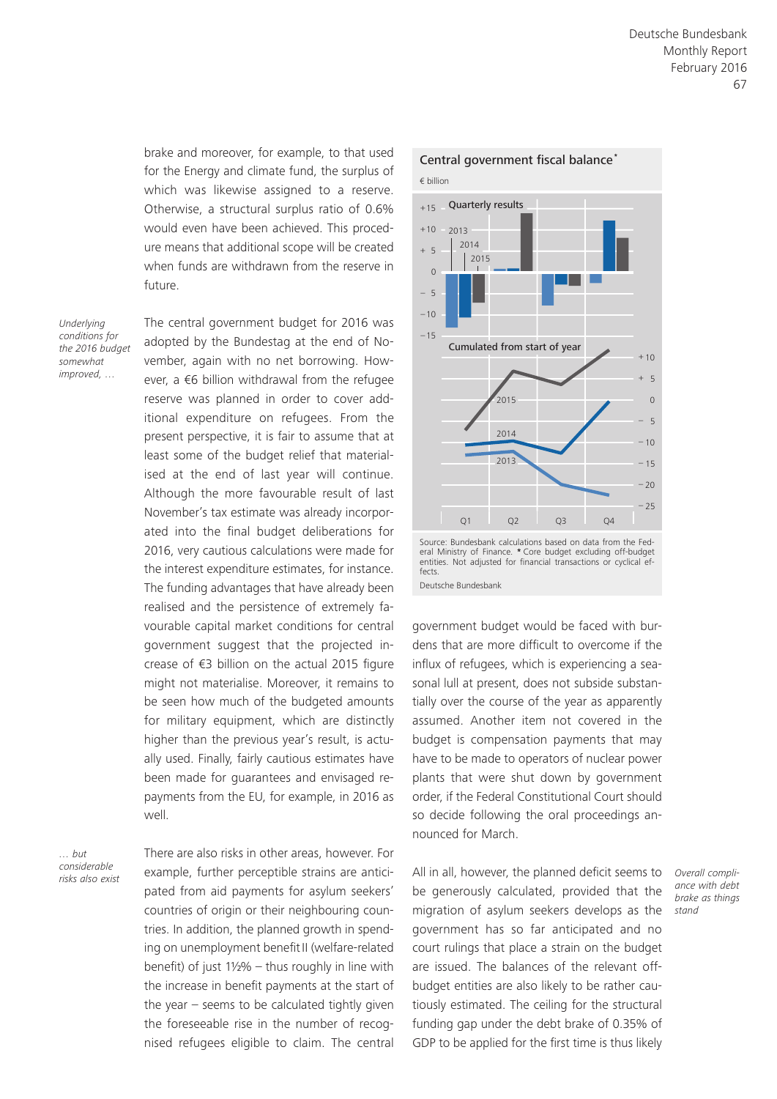brake and moreover, for example, to that used for the Energy and climate fund, the surplus of which was likewise assigned to a reserve. Otherwise, a structural surplus ratio of 0.6% would even have been achieved. This procedure means that additional scope will be created when funds are withdrawn from the reserve in future.

*Underlying conditions for the 2016 budget somewhat improved, …*

The central government budget for 2016 was adopted by the Bundestag at the end of November, again with no net borrowing. However, a €6 billion withdrawal from the refugee reserve was planned in order to cover additional expenditure on refugees. From the present perspective, it is fair to assume that at least some of the budget relief that materialised at the end of last year will continue. Although the more favourable result of last November's tax estimate was already incorporated into the final budget deliberations for 2016, very cautious calculations were made for the interest expenditure estimates, for instance. The funding advantages that have already been realised and the persistence of extremely favourable capital market conditions for central government suggest that the projected increase of €3 billion on the actual 2015 figure might not materialise. Moreover, it remains to be seen how much of the budgeted amounts for military equipment, which are distinctly higher than the previous year's result, is actually used. Finally, fairly cautious estimates have been made for guarantees and envisaged repayments from the EU, for example, in 2016 as well.

*… but considerable* 

There are also risks in other areas, however. For example, further perceptible strains are anticipated from aid payments for asylum seekers' countries of origin or their neighbouring countries. In addition, the planned growth in spending on unemployment benefit II (welfare-related benefit) of just 1½% – thus roughly in line with the increase in benefit payments at the start of the year – seems to be calculated tightly given the foreseeable rise in the number of recognised refugees eligible to claim. The central All in all, however, the planned deficit seems to *risks also exist Overall compli-*



Source: Bundesbank calculations based on data from the Federal Ministry of Finance. **\*** Core budget excluding off-budget entities. Not adjusted for financial transactions or cyclical effects. Deutsche Bundesbank

government budget would be faced with burdens that are more difficult to overcome if the influx of refugees, which is experiencing a seasonal lull at present, does not subside substantially over the course of the year as apparently assumed. Another item not covered in the budget is compensation payments that may have to be made to operators of nuclear power plants that were shut down by government order, if the Federal Constitutional Court should so decide following the oral proceedings announced for March.

be generously calculated, provided that the migration of asylum seekers develops as the government has so far anticipated and no court rulings that place a strain on the budget are issued. The balances of the relevant offbudget entities are also likely to be rather cautiously estimated. The ceiling for the structural funding gap under the debt brake of 0.35% of GDP to be applied for the first time is thus likely

*ance with debt brake as things stand*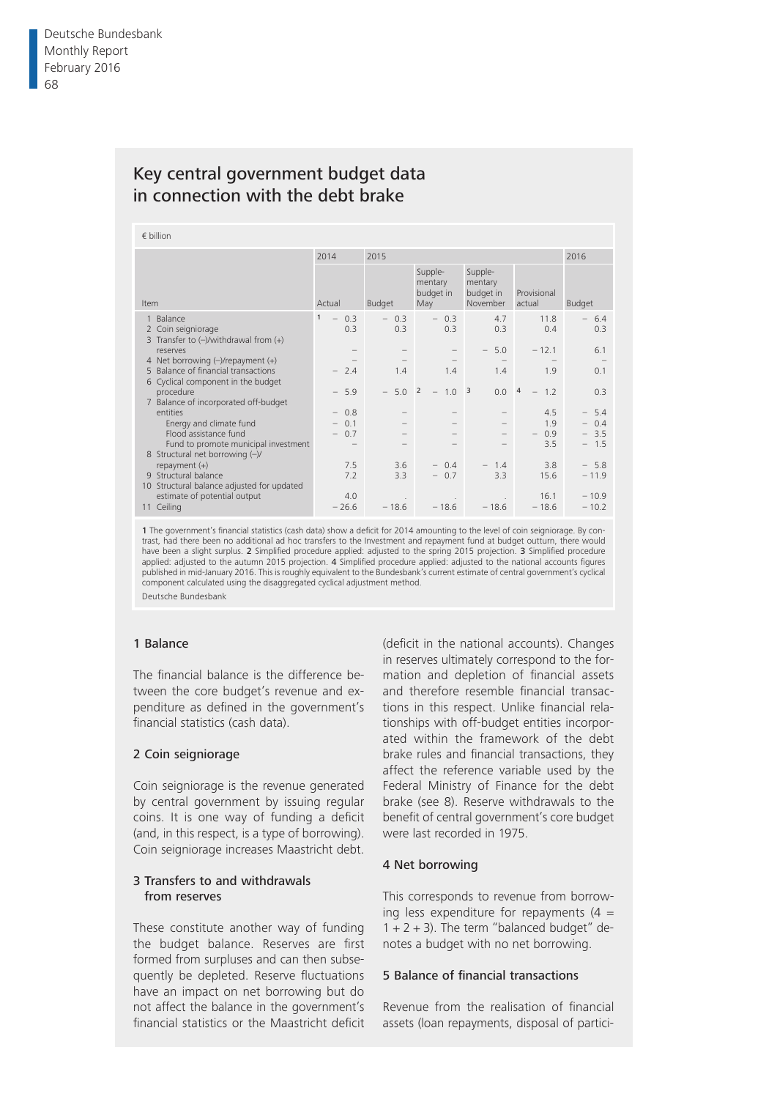# Key central government budget data in connection with the debt brake

|  | € billion |
|--|-----------|

|                                                                                | 2015<br>2014                    |                         |                                        |                                             |                                 | 2016          |  |  |
|--------------------------------------------------------------------------------|---------------------------------|-------------------------|----------------------------------------|---------------------------------------------|---------------------------------|---------------|--|--|
| Item                                                                           | Actual                          | Budget                  | Supple-<br>mentary<br>budget in<br>May | Supple-<br>mentary<br>budget in<br>November | Provisional<br>actual           | Budget        |  |  |
| Balance<br>Coin seigniorage<br>2<br>3 Transfer to $(-)$ /withdrawal from $(+)$ | $\mathbf{1}$<br>$-0.3$<br>0.3   | $-0.3$<br>0.3           | $-0.3$<br>0.3                          | 4.7<br>0.3                                  | 11.8<br>0.4                     | $-6.4$<br>0.3 |  |  |
| reserves                                                                       |                                 |                         |                                        | $-5.0$                                      | $-12.1$                         | 6.1           |  |  |
| 4 Net borrowing $(-)/$ repayment $(+)$                                         |                                 |                         |                                        |                                             |                                 |               |  |  |
| 5 Balance of financial transactions                                            | $-2.4$                          | 1.4                     | 1.4                                    | 1.4                                         | 1.9                             | 0.1           |  |  |
| 6 Cyclical component in the budget                                             |                                 |                         |                                        |                                             |                                 |               |  |  |
| procedure                                                                      | 5.9<br>$-$                      | 5.0 <sup>2</sup><br>$-$ | $-1.0$ 3                               |                                             | $0.0 \quad 4 \quad - \quad 1.2$ | 0.3           |  |  |
| 7 Balance of incorporated off-budget                                           |                                 |                         |                                        |                                             |                                 |               |  |  |
| entities                                                                       | $-0.8$                          |                         |                                        |                                             | 4.5                             | $-5.4$        |  |  |
| Energy and climate fund                                                        | 0.1<br>$\overline{\phantom{0}}$ |                         |                                        |                                             | 1.9                             | $-0.4$        |  |  |
| Flood assistance fund                                                          | 0.7<br>$-$                      |                         |                                        |                                             | 0.9                             | $-3.5$        |  |  |
| Fund to promote municipal investment                                           |                                 |                         |                                        |                                             | 3.5                             | $-1.5$        |  |  |
| 8 Structural net borrowing $(-)/$                                              |                                 |                         |                                        |                                             |                                 |               |  |  |
| repayment $(+)$                                                                | 7.5                             | 3.6                     | $-0.4$                                 | $-1.4$                                      | 3.8                             | $-5.8$        |  |  |
| 9 Structural balance                                                           | 7.2                             | 3.3                     | 0.7<br>$ \,$                           | 3.3                                         | 15.6                            | $-11.9$       |  |  |
| 10 Structural balance adjusted for updated                                     |                                 |                         |                                        |                                             |                                 |               |  |  |
| estimate of potential output                                                   | 4.0                             |                         |                                        |                                             | 16.1                            | $-10.9$       |  |  |
| 11 Ceiling                                                                     | $-26.6$                         | $-18.6$                 | $-18.6$                                | $-18.6$                                     | $-18.6$                         | $-10.2$       |  |  |
|                                                                                |                                 |                         |                                        |                                             |                                 |               |  |  |

1 The government's financial statistics (cash data) show a deficit for 2014 amounting to the level of coin seigniorage. By contrast, had there been no additional ad hoc transfers to the Investment and repayment fund at budget outturn, there would have been a slight surplus. 2 Simplified procedure applied: adjusted to the spring 2015 projection. 3 Simplified procedure applied: adjusted to the autumn 2015 projection. 4 Simplified procedure applied: adjusted to the national accounts figures published in mid-January 2016. This is roughly equivalent to the Bundesbank's current estimate of central government's cyclical component calculated using the disaggregated cyclical adjustment method.

Deutsche Bundesbank

#### 1 Balance

The financial balance is the difference between the core budget's revenue and expenditure as defined in the government's financial statistics (cash data).

#### 2 Coin seigniorage

Coin seigniorage is the revenue generated by central government by issuing regular coins. It is one way of funding a deficit (and, in this respect, is a type of borrowing). Coin seigniorage increases Maastricht debt.

#### 3 Transfers to and withdrawals from reserves

These constitute another way of funding the budget balance. Reserves are first formed from surpluses and can then subsequently be depleted. Reserve fluctuations have an impact on net borrowing but do not affect the balance in the government's financial statistics or the Maastricht deficit

(deficit in the national accounts). Changes in reserves ultimately correspond to the formation and depletion of financial assets and therefore resemble financial transactions in this respect. Unlike financial relationships with off-budget entities incorporated within the framework of the debt brake rules and financial transactions, they affect the reference variable used by the Federal Ministry of Finance for the debt brake (see 8). Reserve withdrawals to the benefit of central government's core budget were last recorded in 1975.

#### 4 Net borrowing

This corresponds to revenue from borrowing less expenditure for repayments  $(4 =$  $1 + 2 + 3$ ). The term "balanced budget" denotes a budget with no net borrowing.

#### 5 Balance of financial transactions

Revenue from the realisation of financial assets (loan repayments, disposal of partici-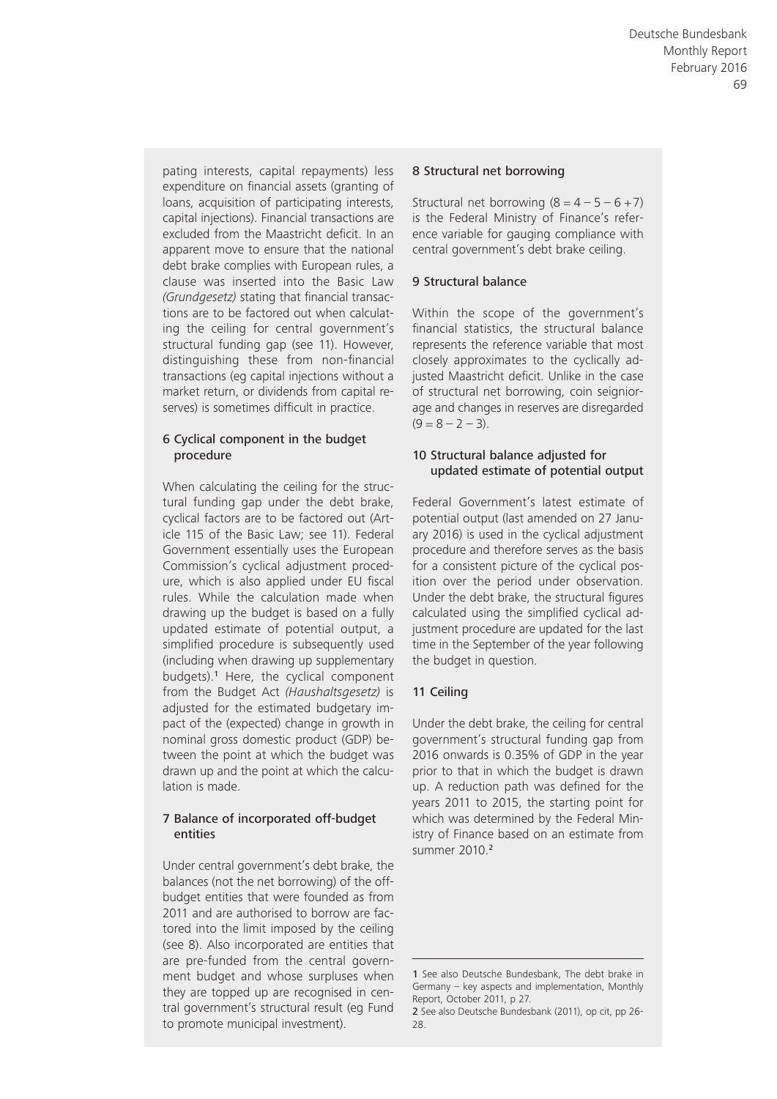pating interests, capital repayments) less expenditure on financial assets (granting of loans, acquisition of participating interests, capital injections). Financial transactions are excluded from the Maastricht deficit. In an apparent move to ensure that the national debt brake complies with European rules, a clause was inserted into the Basic Law *(Grundgesetz)* stating that financial transactions are to be factored out when calculating the ceiling for central government's structural funding gap (see 11). However, distinguishing these from non-financial transactions (eg capital injections without a market return, or dividends from capital reserves) is sometimes difficult in practice.

#### 6 Cyclical component in the budget procedure

When calculating the ceiling for the structural funding gap under the debt brake, cyclical factors are to be factored out (Article 115 of the Basic Law; see 11). Federal Government essentially uses the European Commission's cyclical adjustment procedure, which is also applied under EU fiscal rules. While the calculation made when drawing up the budget is based on a fully updated estimate of potential output, a simplified procedure is subsequently used (including when drawing up supplementary budgets).<sup>1</sup> Here, the cyclical component from the Budget Act *(Haushaltsgesetz)* is adjusted for the estimated budgetary impact of the (expected) change in growth in nominal gross domestic product (GDP) between the point at which the budget was drawn up and the point at which the calculation is made.

#### 7 Balance of incorporated off- budget entities

Under central government's debt brake, the balances (not the net borrowing) of the offbudget entities that were founded as from 2011 and are authorised to borrow are factored into the limit imposed by the ceiling (see 8). Also incorporated are entities that are pre-funded from the central government budget and whose surpluses when they are topped up are recognised in central government's structural result (eg Fund to promote municipal investment).

#### 8 Structural net borrowing

Structural net borrowing  $(8 = 4 - 5 - 6 + 7)$ is the Federal Ministry of Finance's reference variable for gauging compliance with central government's debt brake ceiling.

#### 9 Structural balance

Within the scope of the government's financial statistics, the structural balance represents the reference variable that most closely approximates to the cyclically adjusted Maastricht deficit. Unlike in the case of structural net borrowing, coin seigniorage and changes in reserves are disregarded  $(9 = 8 - 7 - 3)$ .

#### 10 Structural balance adjusted for updated estimate of potential output

Federal Government's latest estimate of potential output (last amended on 27 January 2016) is used in the cyclical adjustment procedure and therefore serves as the basis for a consistent picture of the cyclical position over the period under observation. Under the debt brake, the structural figures calculated using the simplified cyclical adjustment procedure are updated for the last time in the September of the year following the budget in question.

#### 11 Ceiling

Under the debt brake, the ceiling for central government's structural funding gap from 2016 onwards is 0.35% of GDP in the year prior to that in which the budget is drawn up. A reduction path was defined for the years 2011 to 2015, the starting point for which was determined by the Federal Ministry of Finance based on an estimate from summer 2010.<sup>2</sup>

<sup>1</sup> See also Deutsche Bundesbank, The debt brake in Germany – key aspects and implementation, Monthly Report, October 2011, p 27.

<sup>2</sup> See also Deutsche Bundesbank (2011), op cit, pp 26- 28.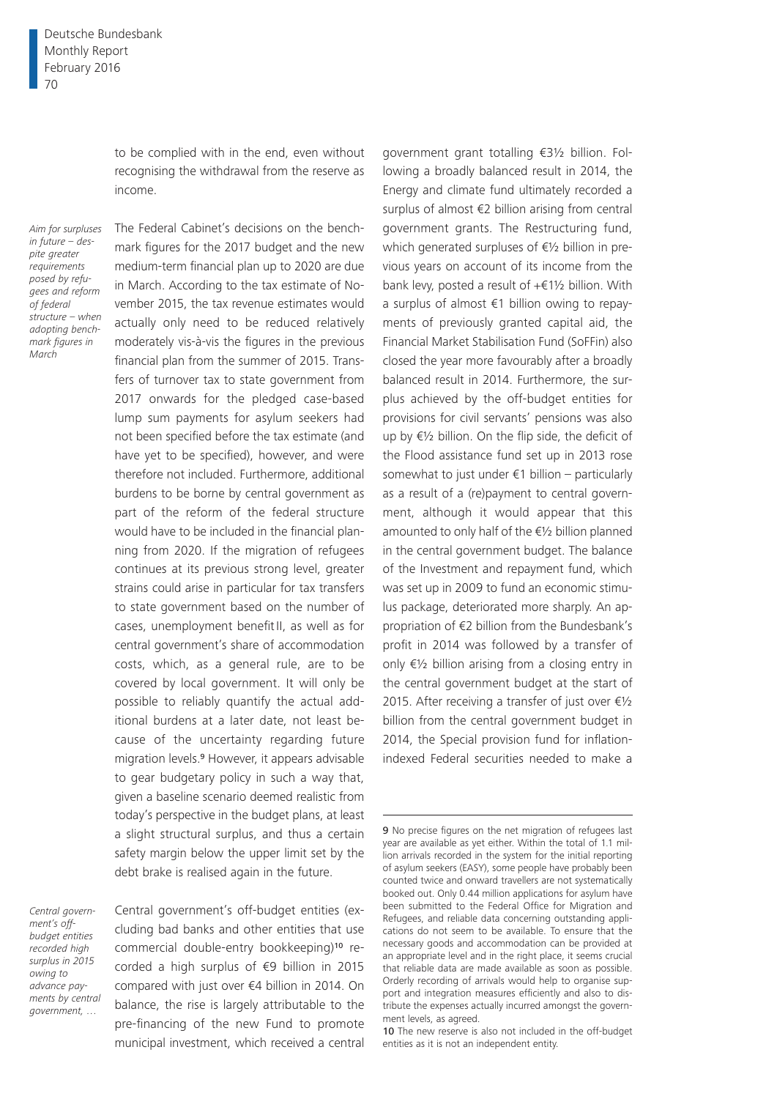to be complied with in the end, even without recognising the withdrawal from the reserve as income.

*Aim for surpluses in future – despite greater requirements posed by refugees and reform of federal structure – when adopting benchmark figures in March*

The Federal Cabinet's decisions on the benchmark figures for the 2017 budget and the new medium-term financial plan up to 2020 are due in March. According to the tax estimate of November 2015, the tax revenue estimates would actually only need to be reduced relatively moderately vis-à-vis the figures in the previous financial plan from the summer of 2015. Transfers of turnover tax to state government from 2017 onwards for the pledged case-based lump sum payments for asylum seekers had not been specified before the tax estimate (and have yet to be specified), however, and were therefore not included. Furthermore, additional burdens to be borne by central government as part of the reform of the federal structure would have to be included in the financial planning from 2020. If the migration of refugees continues at its previous strong level, greater strains could arise in particular for tax transfers to state government based on the number of cases, unemployment benefit II, as well as for central government's share of accommodation costs, which, as a general rule, are to be covered by local government. It will only be possible to reliably quantify the actual additional burdens at a later date, not least because of the uncertainty regarding future migration levels.9 However, it appears advisable to gear budgetary policy in such a way that, given a baseline scenario deemed realistic from today's perspective in the budget plans, at least a slight structural surplus, and thus a certain safety margin below the upper limit set by the debt brake is realised again in the future.

*Central government's offbudget entities recorded high surplus in 2015 owing to advance payments by central government, …*

Central government's off-budget entities (excluding bad banks and other entities that use commercial double-entry bookkeeping)10 recorded a high surplus of €9 billion in 2015 compared with just over €4 billion in 2014. On balance, the rise is largely attributable to the pre-financing of the new Fund to promote municipal investment, which received a central

government grant totalling €3½ billion. Following a broadly balanced result in 2014, the Energy and climate fund ultimately recorded a surplus of almost €2 billion arising from central government grants. The Restructuring fund, which generated surpluses of €½ billion in previous years on account of its income from the bank levy, posted a result of  $+£1\frac{1}{2}$  billion. With a surplus of almost €1 billion owing to repayments of previously granted capital aid, the Financial Market Stabilisation Fund (SoFFin) also closed the year more favourably after a broadly balanced result in 2014. Furthermore, the surplus achieved by the off-budget entities for provisions for civil servants' pensions was also up by €½ billion. On the flip side, the deficit of the Flood assistance fund set up in 2013 rose somewhat to just under  $€1$  billion – particularly as a result of a (re)payment to central government, although it would appear that this amounted to only half of the €½ billion planned in the central government budget. The balance of the Investment and repayment fund, which was set up in 2009 to fund an economic stimulus package, deteriorated more sharply. An appropriation of €2 billion from the Bundesbank's profit in 2014 was followed by a transfer of only €½ billion arising from a closing entry in the central government budget at the start of 2015. After receiving a transfer of just over  $\epsilon$ 1/2 billion from the central government budget in 2014, the Special provision fund for inflationindexed Federal securities needed to make a

<sup>9</sup> No precise figures on the net migration of refugees last year are available as yet either. Within the total of 1.1 million arrivals recorded in the system for the initial reporting of asylum seekers (EASY), some people have probably been counted twice and onward travellers are not systematically booked out. Only 0.44 million applications for asylum have been submitted to the Federal Office for Migration and Refugees, and reliable data concerning outstanding applications do not seem to be available. To ensure that the necessary goods and accommodation can be provided at an appropriate level and in the right place, it seems crucial that reliable data are made available as soon as possible. Orderly recording of arrivals would help to organise support and integration measures efficiently and also to distribute the expenses actually incurred amongst the government levels, as agreed.

<sup>10</sup> The new reserve is also not included in the off-budget entities as it is not an independent entity.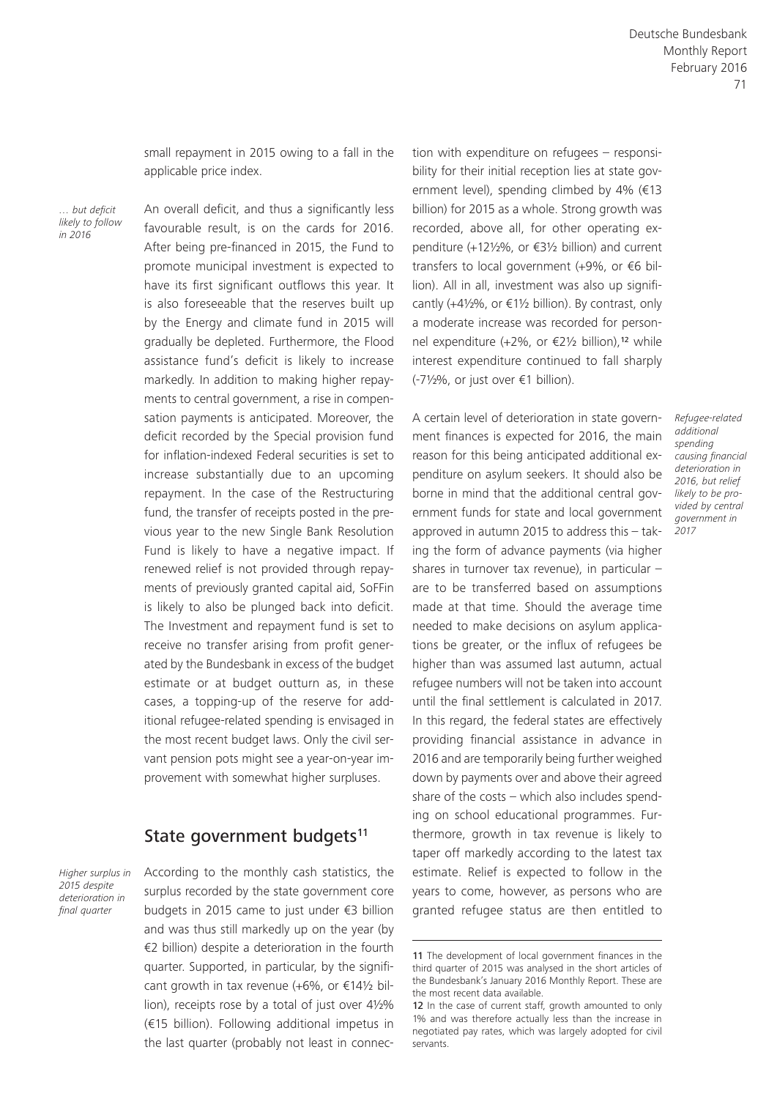small repayment in 2015 owing to a fall in the applicable price index.

*… but deficit likely to follow in 2016*

An overall deficit, and thus a significantly less favourable result, is on the cards for 2016. After being pre-financed in 2015, the Fund to promote municipal investment is expected to have its first significant outflows this year. It is also foreseeable that the reserves built up by the Energy and climate fund in 2015 will gradually be depleted. Furthermore, the Flood assistance fund's deficit is likely to increase markedly. In addition to making higher repayments to central government, a rise in compensation payments is anticipated. Moreover, the deficit recorded by the Special provision fund for inflation-indexed Federal securities is set to increase substantially due to an upcoming repayment. In the case of the Restructuring fund, the transfer of receipts posted in the previous year to the new Single Bank Resolution Fund is likely to have a negative impact. If renewed relief is not provided through repayments of previously granted capital aid, SoFFin is likely to also be plunged back into deficit. The Investment and repayment fund is set to receive no transfer arising from profit generated by the Bundesbank in excess of the budget estimate or at budget outturn as, in these cases, a topping-up of the reserve for additional refugee-related spending is envisaged in the most recent budget laws. Only the civil servant pension pots might see a year-on-year improvement with somewhat higher surpluses.

### State government budgets<sup>11</sup>

*Higher surplus in 2015 despite deterioration in final quarter*

According to the monthly cash statistics, the surplus recorded by the state government core budgets in 2015 came to just under €3 billion and was thus still markedly up on the year (by €2 billion) despite a deterioration in the fourth quarter. Supported, in particular, by the significant growth in tax revenue (+6%, or  $£14\frac{1}{2}$  billion), receipts rose by a total of just over 4½% (€15 billion). Following additional impetus in the last quarter (probably not least in connection with expenditure on refugees – responsibility for their initial reception lies at state government level), spending climbed by 4% (€13 billion) for 2015 as a whole. Strong growth was recorded, above all, for other operating expenditure (+12½%, or €3½ billion) and current transfers to local government (+9%, or €6 billion). All in all, investment was also up significantly (+4½%, or  $f(1)/2$  billion). By contrast, only a moderate increase was recorded for personnel expenditure (+2%, or €2½ billion),12 while interest expenditure continued to fall sharply (-7½%, or just over €1 billion).

A certain level of deterioration in state government finances is expected for 2016, the main reason for this being anticipated additional expenditure on asylum seekers. It should also be borne in mind that the additional central government funds for state and local government approved in autumn 2015 to address this – taking the form of advance payments (via higher shares in turnover tax revenue), in particular – are to be transferred based on assumptions made at that time. Should the average time needed to make decisions on asylum applications be greater, or the influx of refugees be higher than was assumed last autumn, actual refugee numbers will not be taken into account until the final settlement is calculated in 2017. In this regard, the federal states are effectively providing financial assistance in advance in 2016 and are temporarily being further weighed down by payments over and above their agreed share of the costs – which also includes spending on school educational programmes. Furthermore, growth in tax revenue is likely to taper off markedly according to the latest tax estimate. Relief is expected to follow in the years to come, however, as persons who are granted refugee status are then entitled to *Refugee-related additional spending causing financial deterioration in 2016, but relief likely to be provided by central government in 2017*

<sup>11</sup> The development of local government finances in the third quarter of 2015 was analysed in the short articles of the Bundesbank's January 2016 Monthly Report. These are the most recent data available.

<sup>12</sup> In the case of current staff, growth amounted to only 1% and was therefore actually less than the increase in negotiated pay rates, which was largely adopted for civil servants.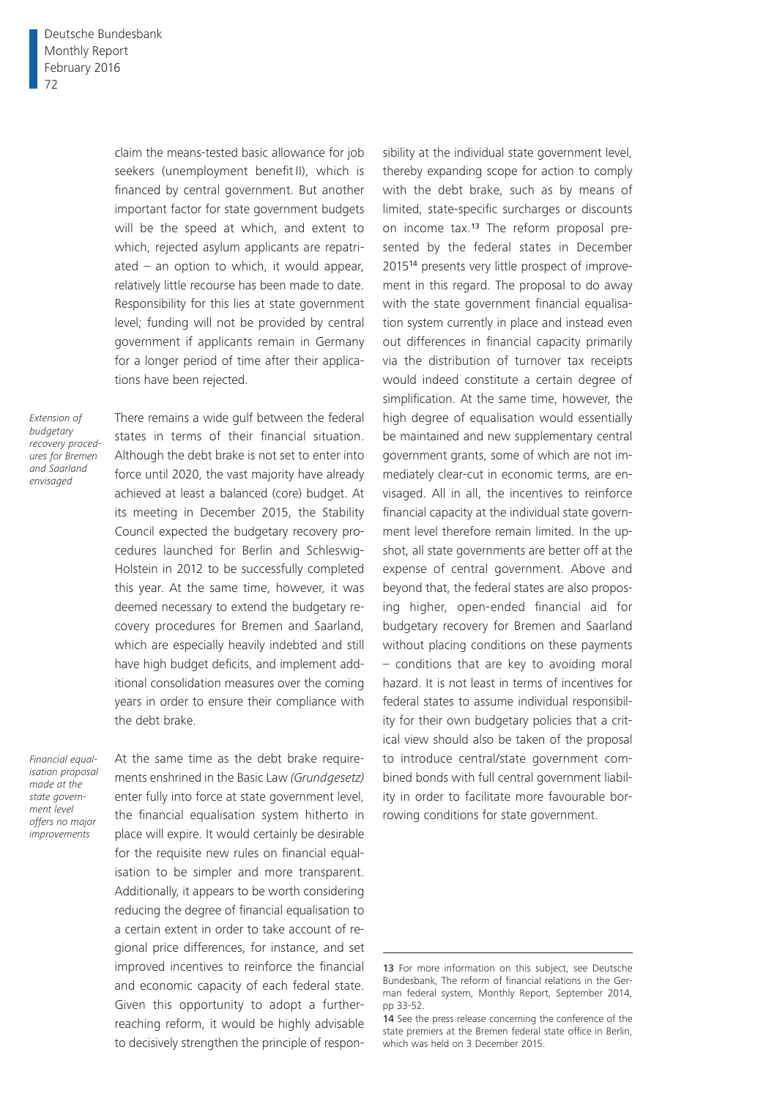claim the means-tested basic allowance for job seekers (unemployment benefit II), which is financed by central government. But another important factor for state government budgets will be the speed at which, and extent to which, rejected asylum applicants are repatriated – an option to which, it would appear, relatively little recourse has been made to date. Responsibility for this lies at state government level; funding will not be provided by central government if applicants remain in Germany for a longer period of time after their applications have been rejected.

*Extension of budgetary recovery procedures for Bremen and Saarland envisaged*

There remains a wide gulf between the federal states in terms of their financial situation. Although the debt brake is not set to enter into force until 2020, the vast majority have already achieved at least a balanced (core) budget. At its meeting in December 2015, the Stability Council expected the budgetary recovery procedures launched for Berlin and Schleswig-Holstein in 2012 to be successfully completed this year. At the same time, however, it was deemed necessary to extend the budgetary recovery procedures for Bremen and Saarland, which are especially heavily indebted and still have high budget deficits, and implement additional consolidation measures over the coming years in order to ensure their compliance with the debt brake.

*Financial equalisation proposal made at the state government level offers no major improvements*

At the same time as the debt brake requirements enshrined in the Basic Law *(Grundgesetz)* enter fully into force at state government level, the financial equalisation system hitherto in place will expire. It would certainly be desirable for the requisite new rules on financial equalisation to be simpler and more transparent. Additionally, it appears to be worth considering reducing the degree of financial equalisation to a certain extent in order to take account of regional price differences, for instance, and set improved incentives to reinforce the financial and economic capacity of each federal state. Given this opportunity to adopt a furtherreaching reform, it would be highly advisable to decisively strengthen the principle of responsibility at the individual state government level, thereby expanding scope for action to comply with the debt brake, such as by means of limited, state-specific surcharges or discounts on income tax.13 The reform proposal presented by the federal states in December 201514 presents very little prospect of improvement in this regard. The proposal to do away with the state government financial equalisation system currently in place and instead even out differences in financial capacity primarily via the distribution of turnover tax receipts would indeed constitute a certain degree of simplification. At the same time, however, the high degree of equalisation would essentially be maintained and new supplementary central government grants, some of which are not immediately clear-cut in economic terms, are envisaged. All in all, the incentives to reinforce financial capacity at the individual state government level therefore remain limited. In the upshot, all state governments are better off at the expense of central government. Above and beyond that, the federal states are also proposing higher, open-ended financial aid for budgetary recovery for Bremen and Saarland without placing conditions on these payments – conditions that are key to avoiding moral hazard. It is not least in terms of incentives for federal states to assume individual responsibility for their own budgetary policies that a critical view should also be taken of the proposal to introduce central/state government combined bonds with full central government liability in order to facilitate more favourable borrowing conditions for state government.

<sup>13</sup> For more information on this subject, see Deutsche Bundesbank, The reform of financial relations in the German federal system, Monthly Report, September 2014, pp 33-52.

<sup>14</sup> See the press release concerning the conference of the state premiers at the Bremen federal state office in Berlin, which was held on 3 December 2015.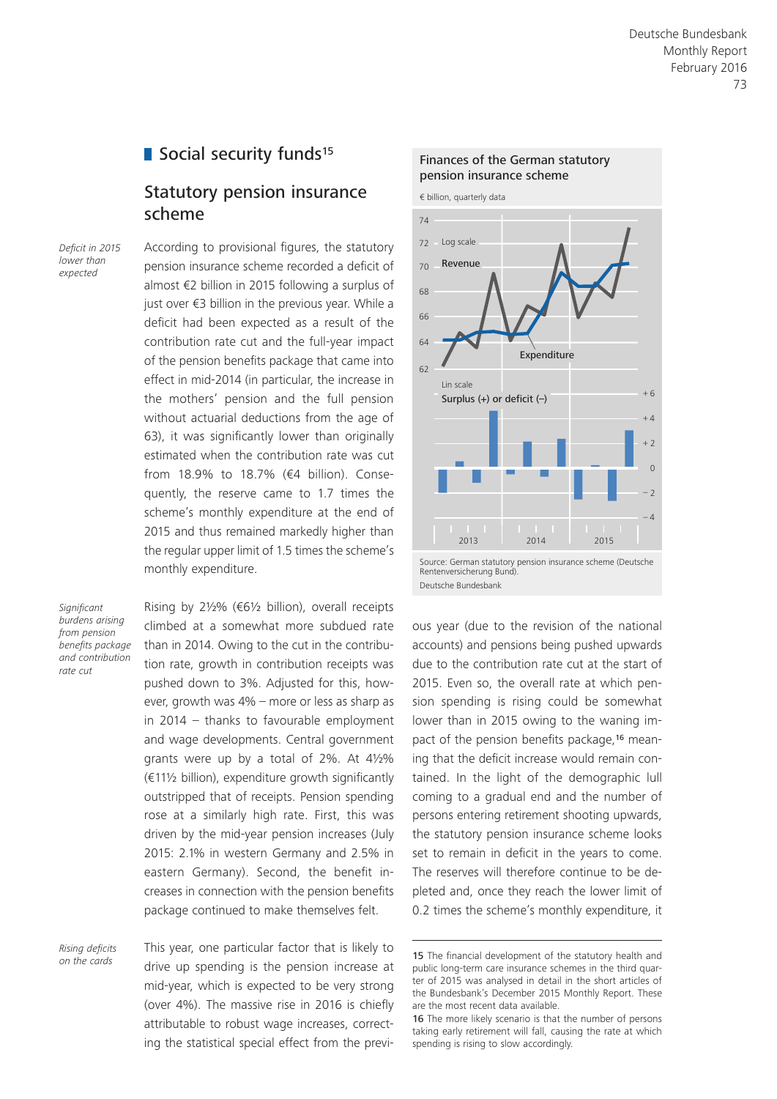### Social security funds<sup>15</sup>

### Statutory pension insurance scheme

*Deficit in 2015 lower than expected*

According to provisional figures, the statutory pension insurance scheme recorded a deficit of almost €2 billion in 2015 following a surplus of just over €3 billion in the previous year. While a deficit had been expected as a result of the contribution rate cut and the full-year impact of the pension benefits package that came into effect in mid-2014 (in particular, the increase in the mothers' pension and the full pension without actuarial deductions from the age of 63), it was significantly lower than originally estimated when the contribution rate was cut from 18.9% to 18.7% (€4 billion). Consequently, the reserve came to 1.7 times the scheme's monthly expenditure at the end of 2015 and thus remained markedly higher than the regular upper limit of 1.5 times the scheme's monthly expenditure.

*Significant burdens arising from pension benefits package and contribution rate cut*

Rising by 2½% (€6½ billion), overall receipts climbed at a somewhat more subdued rate than in 2014. Owing to the cut in the contribution rate, growth in contribution receipts was pushed down to 3%. Adjusted for this, however, growth was 4% – more or less as sharp as in 2014  $-$  thanks to favourable employment and wage developments. Central government grants were up by a total of 2%. At 4½% (€11½ billion), expenditure growth significantly outstripped that of receipts. Pension spending rose at a similarly high rate. First, this was driven by the mid-year pension increases (July 2015: 2.1% in western Germany and 2.5% in eastern Germany). Second, the benefit increases in connection with the pension benefits package continued to make themselves felt.

*Rising deficits on the cards*

This year, one particular factor that is likely to drive up spending is the pension increase at mid-year, which is expected to be very strong (over 4%). The massive rise in 2016 is chiefly attributable to robust wage increases, correcting the statistical special effect from the previ-



Rentenversicherung Bund). Deutsche Bundesbank

ous year (due to the revision of the national accounts) and pensions being pushed upwards due to the contribution rate cut at the start of 2015. Even so, the overall rate at which pension spending is rising could be somewhat lower than in 2015 owing to the waning impact of the pension benefits package,16 meaning that the deficit increase would remain contained. In the light of the demographic lull coming to a gradual end and the number of persons entering retirement shooting upwards, the statutory pension insurance scheme looks set to remain in deficit in the years to come. The reserves will therefore continue to be depleted and, once they reach the lower limit of 0.2 times the scheme's monthly expenditure, it

<sup>15</sup> The financial development of the statutory health and public long-term care insurance schemes in the third quarter of 2015 was analysed in detail in the short articles of the Bundesbank's December 2015 Monthly Report. These are the most recent data available.

<sup>16</sup> The more likely scenario is that the number of persons taking early retirement will fall, causing the rate at which spending is rising to slow accordingly.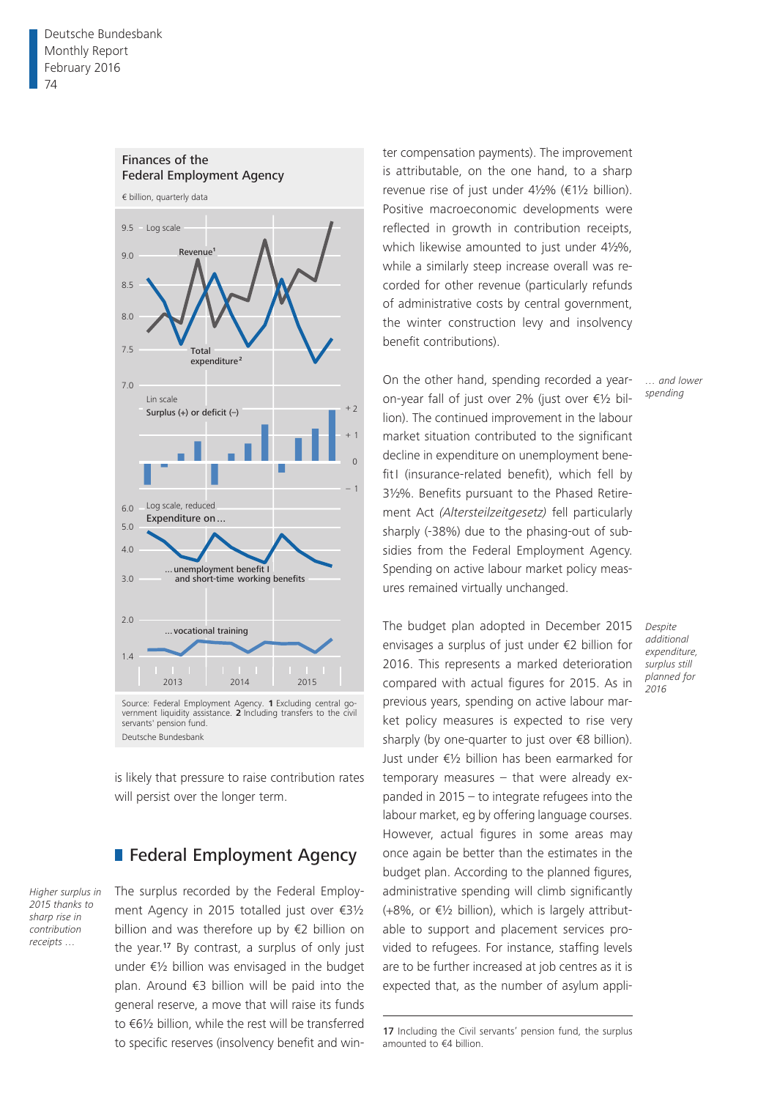

is likely that pressure to raise contribution rates will persist over the longer term.

### **Federal Employment Agency**

*Higher surplus in 2015 thanks to sharp rise in contribution receipts …*

The surplus recorded by the Federal Employment Agency in 2015 totalled just over €3½ billion and was therefore up by €2 billion on the year.17 By contrast, a surplus of only just under €½ billion was envisaged in the budget plan. Around €3 billion will be paid into the general reserve, a move that will raise its funds to €6½ billion, while the rest will be transferred to specific reserves (insolvency benefit and win-

ter compensation payments). The improvement is attributable, on the one hand, to a sharp revenue rise of just under 4½% (€1½ billion). Positive macroeconomic developments were reflected in growth in contribution receipts, which likewise amounted to just under 4½%, while a similarly steep increase overall was recorded for other revenue (particularly refunds of administrative costs by central government, the winter construction levy and insolvency benefit contributions).

On the other hand, spending recorded a yearon-year fall of just over 2% (just over €½ billion). The continued improvement in the labour market situation contributed to the significant decline in expenditure on unemployment benefitI (insurance-related benefit), which fell by 3½%. Benefits pursuant to the Phased Retirement Act *(Altersteilzeitgesetz)* fell particularly sharply (-38%) due to the phasing-out of subsidies from the Federal Employment Agency. Spending on active labour market policy measures remained virtually unchanged.

The budget plan adopted in December 2015 envisages a surplus of just under €2 billion for 2016. This represents a marked deterioration compared with actual figures for 2015. As in previous years, spending on active labour market policy measures is expected to rise very sharply (by one-quarter to just over €8 billion). Just under €½ billion has been earmarked for temporary measures – that were already expanded in 2015 – to integrate refugees into the labour market, eg by offering language courses. However, actual figures in some areas may once again be better than the estimates in the budget plan. According to the planned figures, administrative spending will climb significantly (+8%, or  $\epsilon$ 1/2 billion), which is largely attributable to support and placement services provided to refugees. For instance, staffing levels are to be further increased at job centres as it is expected that, as the number of asylum appli*Despite additional expenditure, surplus still planned for 2016*

<sup>17</sup> Including the Civil servants' pension fund, the surplus amounted to €4 billion.